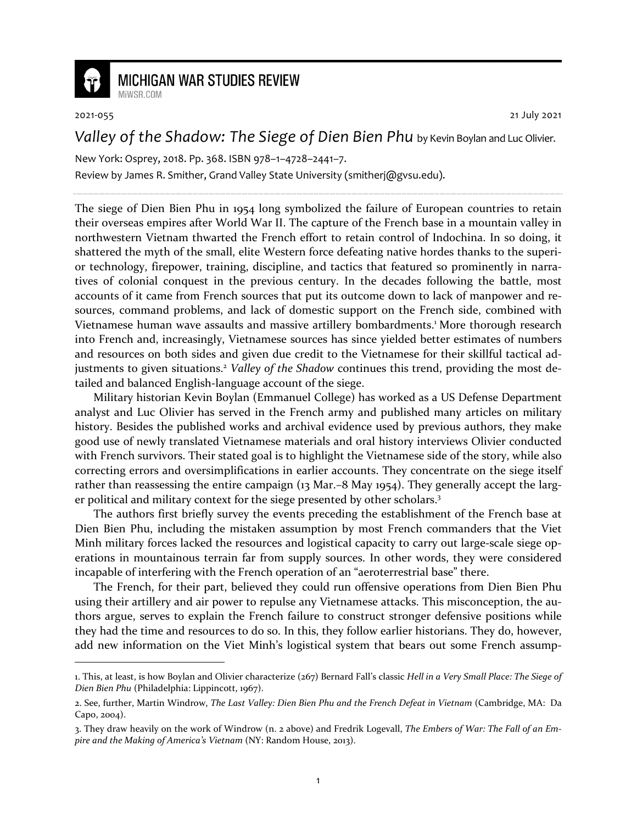

## **MICHIGAN WAR STUDIES REVIEW**

2021-055 21 July 2021

*Valley of the Shadow: The Siege of Dien Bien Phu* by Kevin Boylan and Luc Olivier.

New York: Osprey, 2018. Pp. 368. ISBN 978–1–4728–2441–7.

Review by James R. Smither, Grand Valley State University (smitherj@gvsu.edu).

The siege of Dien Bien Phu in 1954 long symbolized the failure of European countries to retain their overseas empires after World War II. The capture of the French base in a mountain valley in northwestern Vietnam thwarted the French effort to retain control of Indochina. In so doing, it shattered the myth of the small, elite Western force defeating native hordes thanks to the superior technology, firepower, training, discipline, and tactics that featured so prominently in narratives of colonial conquest in the previous century. In the decades following the battle, most accounts of it came from French sources that put its outcome down to lack of manpower and resources, command problems, and lack of domestic support on the French side, combined with Vietnamese human wave assaults and massive artillery bombardments.<sup>1</sup> More thorough research into French and, increasingly, Vietnamese sources has since yielded better estimates of numbers and resources on both sides and given due credit to the Vietnamese for their skillful tactical adjustments to given situations.<sup>2</sup> Valley of the Shadow continues this trend, providing the most detailed and balanced English-language account of the siege.

Military historian Kevin Boylan (Emmanuel College) has worked as a US Defense Department analyst and Luc Olivier has served in the French army and published many articles on military history. Besides the published works and archival evidence used by previous authors, they make good use of newly translated Vietnamese materials and oral history interviews Olivier conducted with French survivors. Their stated goal is to highlight the Vietnamese side of the story, while also correcting errors and oversimplifications in earlier accounts. They concentrate on the siege itself rather than reassessing the entire campaign (13 Mar.–8 May 1954). They generally accept the larger political and military context for the siege presented by other scholars.<sup>3</sup>

The authors first briefly survey the events preceding the establishment of the French base at Dien Bien Phu, including the mistaken assumption by most French commanders that the Viet Minh military forces lacked the resources and logistical capacity to carry out large-scale siege operations in mountainous terrain far from supply sources. In other words, they were considered incapable of interfering with the French operation of an "aeroterrestrial base" there.

The French, for their part, believed they could run offensive operations from Dien Bien Phu using their artillery and air power to repulse any Vietnamese attacks. This misconception, the authors argue, serves to explain the French failure to construct stronger defensive positions while they had the time and resources to do so. In this, they follow earlier historians. They do, however, add new information on the Viet Minh's logistical system that bears out some French assump-

<sup>1.</sup> This, at least, is how Boylan and Olivier characterize (267) Bernard Fall's classic *Hell in a Very Small Place: The Siege of Dien Bien Phu* (Philadelphia: Lippincott, 1967).

<sup>2.</sup> See, further, Martin Windrow, *The Last Valley: Dien Bien Phu and the French Defeat in Vietnam* (Cambridge, MA: Da Capo, 2004).

<sup>3.</sup> They draw heavily on the work of Windrow (n. 2 above) and Fredrik Logevall, *The Embers of War: The Fall of an Empire and the Making of America's Vietnam* (NY: Random House, 2013).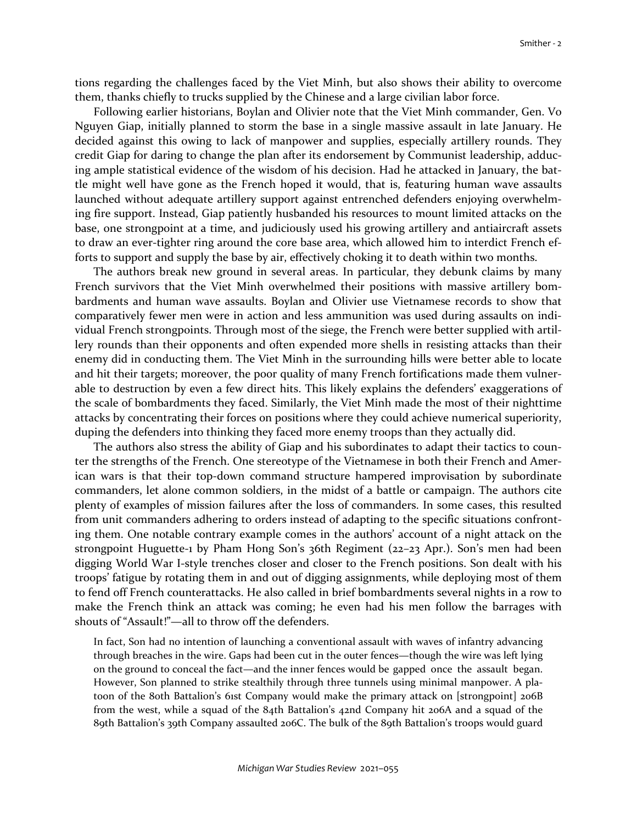tions regarding the challenges faced by the Viet Minh, but also shows their ability to overcome them, thanks chiefly to trucks supplied by the Chinese and a large civilian labor force.

Following earlier historians, Boylan and Olivier note that the Viet Minh commander, Gen. Vo Nguyen Giap, initially planned to storm the base in a single massive assault in late January. He decided against this owing to lack of manpower and supplies, especially artillery rounds. They credit Giap for daring to change the plan after its endorsement by Communist leadership, adducing ample statistical evidence of the wisdom of his decision. Had he attacked in January, the battle might well have gone as the French hoped it would, that is, featuring human wave assaults launched without adequate artillery support against entrenched defenders enjoying overwhelming fire support. Instead, Giap patiently husbanded his resources to mount limited attacks on the base, one strongpoint at a time, and judiciously used his growing artillery and antiaircraft assets to draw an ever-tighter ring around the core base area, which allowed him to interdict French efforts to support and supply the base by air, effectively choking it to death within two months.

The authors break new ground in several areas. In particular, they debunk claims by many French survivors that the Viet Minh overwhelmed their positions with massive artillery bombardments and human wave assaults. Boylan and Olivier use Vietnamese records to show that comparatively fewer men were in action and less ammunition was used during assaults on individual French strongpoints. Through most of the siege, the French were better supplied with artillery rounds than their opponents and often expended more shells in resisting attacks than their enemy did in conducting them. The Viet Minh in the surrounding hills were better able to locate and hit their targets; moreover, the poor quality of many French fortifications made them vulnerable to destruction by even a few direct hits. This likely explains the defenders' exaggerations of the scale of bombardments they faced. Similarly, the Viet Minh made the most of their nighttime attacks by concentrating their forces on positions where they could achieve numerical superiority, duping the defenders into thinking they faced more enemy troops than they actually did.

The authors also stress the ability of Giap and his subordinates to adapt their tactics to counter the strengths of the French. One stereotype of the Vietnamese in both their French and American wars is that their top-down command structure hampered improvisation by subordinate commanders, let alone common soldiers, in the midst of a battle or campaign. The authors cite plenty of examples of mission failures after the loss of commanders. In some cases, this resulted from unit commanders adhering to orders instead of adapting to the specific situations confronting them. One notable contrary example comes in the authors' account of a night attack on the strongpoint Huguette-1 by Pham Hong Son's 36th Regiment (22–23 Apr.). Son's men had been digging World War I-style trenches closer and closer to the French positions. Son dealt with his troops' fatigue by rotating them in and out of digging assignments, while deploying most of them to fend off French counterattacks. He also called in brief bombardments several nights in a row to make the French think an attack was coming; he even had his men follow the barrages with shouts of "Assault!"—all to throw off the defenders.

In fact, Son had no intention of launching a conventional assault with waves of infantry advancing through breaches in the wire. Gaps had been cut in the outer fences—though the wire was left lying on the ground to conceal the fact—and the inner fences would be gapped once the assault began. However, Son planned to strike stealthily through three tunnels using minimal manpower. A platoon of the 80th Battalion's 61st Company would make the primary attack on [strongpoint] 206B from the west, while a squad of the 84th Battalion's 42nd Company hit 206A and a squad of the 89th Battalion's 39th Company assaulted 206C. The bulk of the 89th Battalion's troops would guard